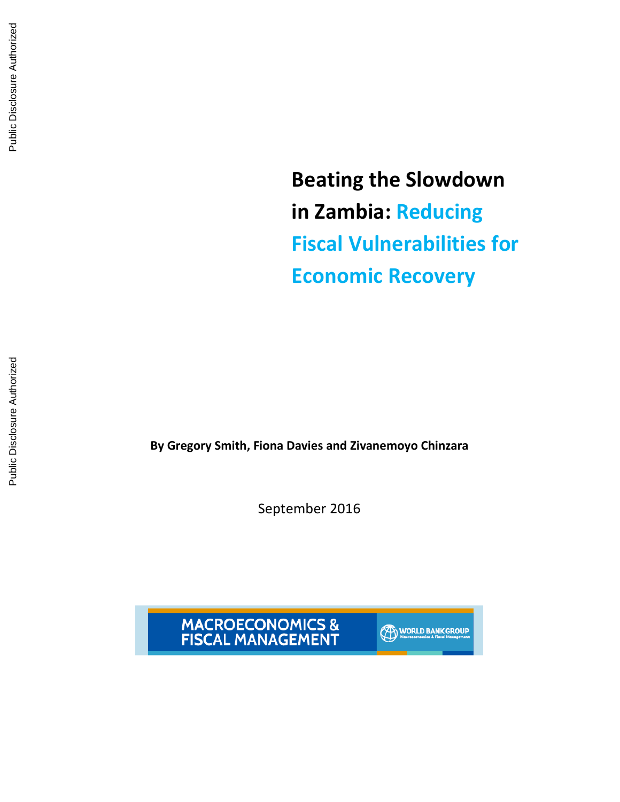Beating the Slowdown in Zambia: Reducing Fiscal Vulnerabilities for Economic Recovery

By Gregory Smith, Fiona Davies and Zivanemoyo Chinzara

September 2016



**WORLD BANK GROUP**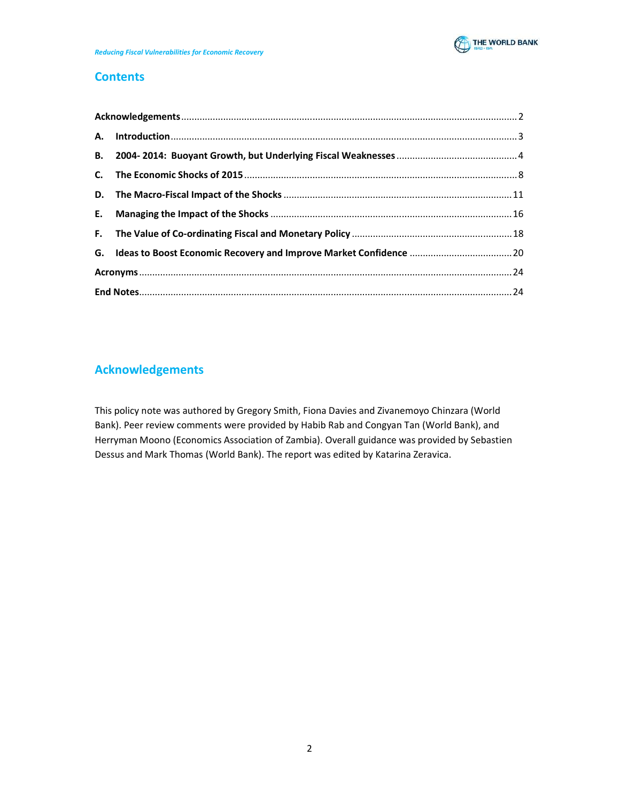

# **Contents**

|  | G. Ideas to Boost Economic Recovery and Improve Market Confidence  20 |  |  |
|--|-----------------------------------------------------------------------|--|--|
|  |                                                                       |  |  |
|  |                                                                       |  |  |

# Acknowledgements

This policy note was authored by Gregory Smith, Fiona Davies and Zivanemoyo Chinzara (World Bank). Peer review comments were provided by Habib Rab and Congyan Tan (World Bank), and Herryman Moono (Economics Association of Zambia). Overall guidance was provided by Sebastien Dessus and Mark Thomas (World Bank). The report was edited by Katarina Zeravica.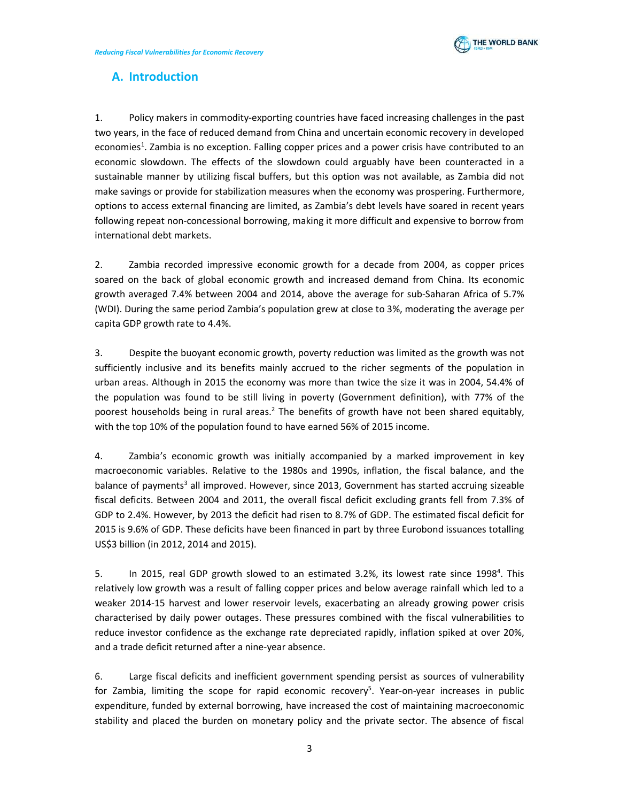

# A. Introduction

1. Policy makers in commodity-exporting countries have faced increasing challenges in the past two years, in the face of reduced demand from China and uncertain economic recovery in developed economies<sup>1</sup>. Zambia is no exception. Falling copper prices and a power crisis have contributed to an economic slowdown. The effects of the slowdown could arguably have been counteracted in a sustainable manner by utilizing fiscal buffers, but this option was not available, as Zambia did not make savings or provide for stabilization measures when the economy was prospering. Furthermore, options to access external financing are limited, as Zambia's debt levels have soared in recent years following repeat non-concessional borrowing, making it more difficult and expensive to borrow from international debt markets.

2. Zambia recorded impressive economic growth for a decade from 2004, as copper prices soared on the back of global economic growth and increased demand from China. Its economic growth averaged 7.4% between 2004 and 2014, above the average for sub-Saharan Africa of 5.7% (WDI). During the same period Zambia's population grew at close to 3%, moderating the average per capita GDP growth rate to 4.4%.

3. Despite the buoyant economic growth, poverty reduction was limited as the growth was not sufficiently inclusive and its benefits mainly accrued to the richer segments of the population in urban areas. Although in 2015 the economy was more than twice the size it was in 2004, 54.4% of the population was found to be still living in poverty (Government definition), with 77% of the poorest households being in rural areas.<sup>2</sup> The benefits of growth have not been shared equitably, with the top 10% of the population found to have earned 56% of 2015 income.

4. Zambia's economic growth was initially accompanied by a marked improvement in key macroeconomic variables. Relative to the 1980s and 1990s, inflation, the fiscal balance, and the balance of payments<sup>3</sup> all improved. However, since 2013, Government has started accruing sizeable fiscal deficits. Between 2004 and 2011, the overall fiscal deficit excluding grants fell from 7.3% of GDP to 2.4%. However, by 2013 the deficit had risen to 8.7% of GDP. The estimated fiscal deficit for 2015 is 9.6% of GDP. These deficits have been financed in part by three Eurobond issuances totalling US\$3 billion (in 2012, 2014 and 2015).

5. In 2015, real GDP growth slowed to an estimated 3.2%, its lowest rate since 1998<sup>4</sup>. This relatively low growth was a result of falling copper prices and below average rainfall which led to a weaker 2014-15 harvest and lower reservoir levels, exacerbating an already growing power crisis characterised by daily power outages. These pressures combined with the fiscal vulnerabilities to reduce investor confidence as the exchange rate depreciated rapidly, inflation spiked at over 20%, and a trade deficit returned after a nine-year absence.

6. Large fiscal deficits and inefficient government spending persist as sources of vulnerability for Zambia, limiting the scope for rapid economic recovery<sup>5</sup>. Year-on-year increases in public expenditure, funded by external borrowing, have increased the cost of maintaining macroeconomic stability and placed the burden on monetary policy and the private sector. The absence of fiscal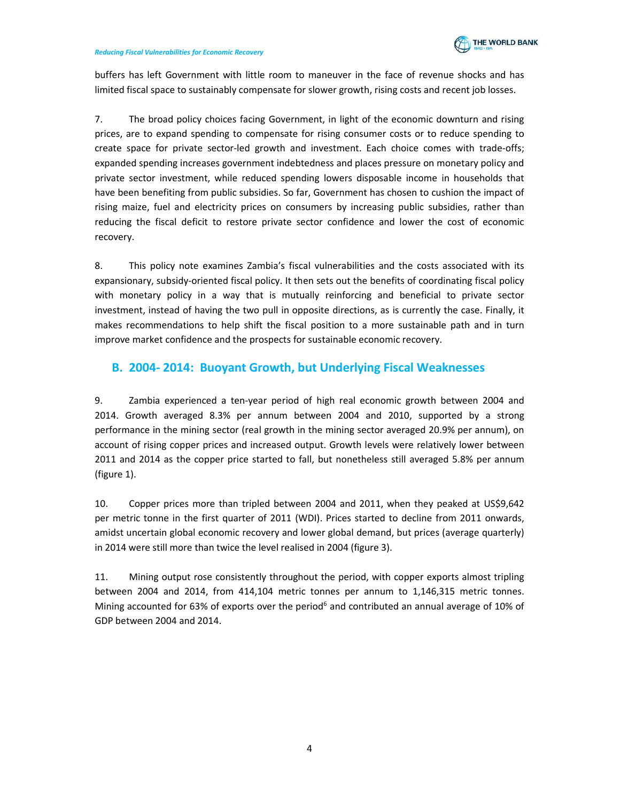

buffers has left Government with little room to maneuver in the face of revenue shocks and has limited fiscal space to sustainably compensate for slower growth, rising costs and recent job losses.

7. The broad policy choices facing Government, in light of the economic downturn and rising prices, are to expand spending to compensate for rising consumer costs or to reduce spending to create space for private sector-led growth and investment. Each choice comes with trade-offs; expanded spending increases government indebtedness and places pressure on monetary policy and private sector investment, while reduced spending lowers disposable income in households that have been benefiting from public subsidies. So far, Government has chosen to cushion the impact of rising maize, fuel and electricity prices on consumers by increasing public subsidies, rather than reducing the fiscal deficit to restore private sector confidence and lower the cost of economic recovery.

8. This policy note examines Zambia's fiscal vulnerabilities and the costs associated with its expansionary, subsidy-oriented fiscal policy. It then sets out the benefits of coordinating fiscal policy with monetary policy in a way that is mutually reinforcing and beneficial to private sector investment, instead of having the two pull in opposite directions, as is currently the case. Finally, it makes recommendations to help shift the fiscal position to a more sustainable path and in turn improve market confidence and the prospects for sustainable economic recovery.

## B. 2004- 2014: Buoyant Growth, but Underlying Fiscal Weaknesses

9. Zambia experienced a ten-year period of high real economic growth between 2004 and 2014. Growth averaged 8.3% per annum between 2004 and 2010, supported by a strong performance in the mining sector (real growth in the mining sector averaged 20.9% per annum), on account of rising copper prices and increased output. Growth levels were relatively lower between 2011 and 2014 as the copper price started to fall, but nonetheless still averaged 5.8% per annum (figure 1).

10. Copper prices more than tripled between 2004 and 2011, when they peaked at US\$9,642 per metric tonne in the first quarter of 2011 (WDI). Prices started to decline from 2011 onwards, amidst uncertain global economic recovery and lower global demand, but prices (average quarterly) in 2014 were still more than twice the level realised in 2004 (figure 3).

11. Mining output rose consistently throughout the period, with copper exports almost tripling between 2004 and 2014, from 414,104 metric tonnes per annum to 1,146,315 metric tonnes. Mining accounted for 63% of exports over the period<sup>6</sup> and contributed an annual average of 10% of GDP between 2004 and 2014.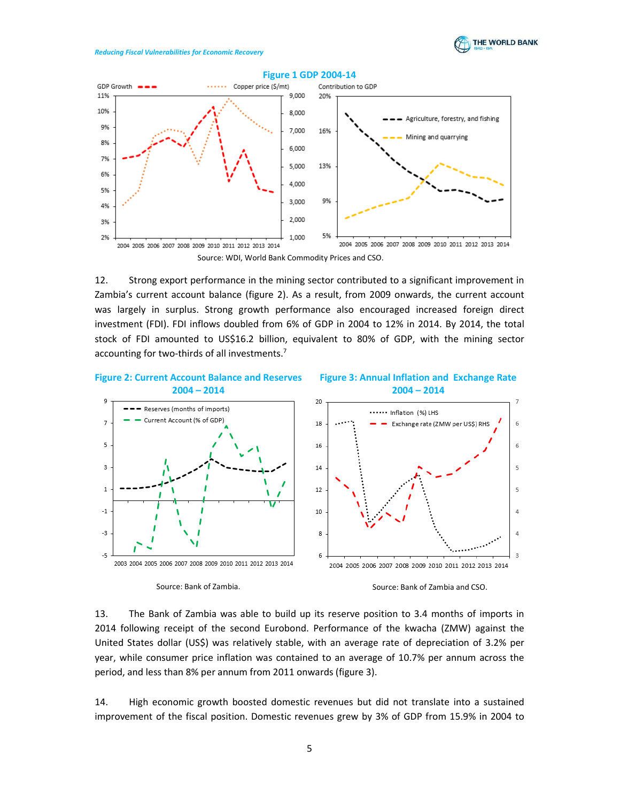



12. Strong export performance in the mining sector contributed to a significant improvement in Zambia's current account balance (figure 2). As a result, from 2009 onwards, the current account was largely in surplus. Strong growth performance also encouraged increased foreign direct investment (FDI). FDI inflows doubled from 6% of GDP in 2004 to 12% in 2014. By 2014, the total stock of FDI amounted to US\$16.2 billion, equivalent to 80% of GDP, with the mining sector accounting for two-thirds of all investments.<sup>7</sup>



# 13. The Bank of Zambia was able to build up its reserve position to 3.4 months of imports in 2014 following receipt of the second Eurobond. Performance of the kwacha (ZMW) against the United States dollar (US\$) was relatively stable, with an average rate of depreciation of 3.2% per year, while consumer price inflation was contained to an average of 10.7% per annum across the period, and less than 8% per annum from 2011 onwards (figure 3).

14. High economic growth boosted domestic revenues but did not translate into a sustained improvement of the fiscal position. Domestic revenues grew by 3% of GDP from 15.9% in 2004 to

### 5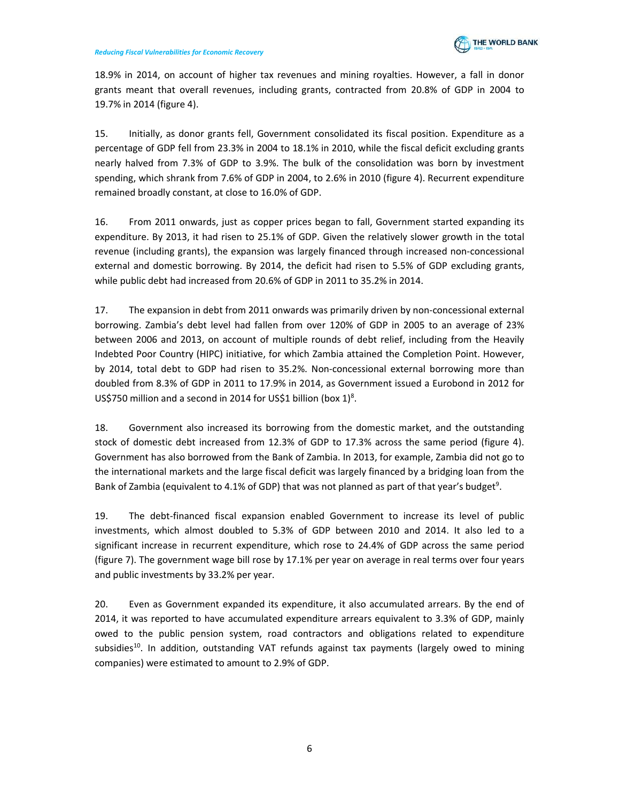

18.9% in 2014, on account of higher tax revenues and mining royalties. However, a fall in donor grants meant that overall revenues, including grants, contracted from 20.8% of GDP in 2004 to 19.7% in 2014 (figure 4).

15. Initially, as donor grants fell, Government consolidated its fiscal position. Expenditure as a percentage of GDP fell from 23.3% in 2004 to 18.1% in 2010, while the fiscal deficit excluding grants nearly halved from 7.3% of GDP to 3.9%. The bulk of the consolidation was born by investment spending, which shrank from 7.6% of GDP in 2004, to 2.6% in 2010 (figure 4). Recurrent expenditure remained broadly constant, at close to 16.0% of GDP.

16. From 2011 onwards, just as copper prices began to fall, Government started expanding its expenditure. By 2013, it had risen to 25.1% of GDP. Given the relatively slower growth in the total revenue (including grants), the expansion was largely financed through increased non-concessional external and domestic borrowing. By 2014, the deficit had risen to 5.5% of GDP excluding grants, while public debt had increased from 20.6% of GDP in 2011 to 35.2% in 2014.

17. The expansion in debt from 2011 onwards was primarily driven by non-concessional external borrowing. Zambia's debt level had fallen from over 120% of GDP in 2005 to an average of 23% between 2006 and 2013, on account of multiple rounds of debt relief, including from the Heavily Indebted Poor Country (HIPC) initiative, for which Zambia attained the Completion Point. However, by 2014, total debt to GDP had risen to 35.2%. Non-concessional external borrowing more than doubled from 8.3% of GDP in 2011 to 17.9% in 2014, as Government issued a Eurobond in 2012 for US\$750 million and a second in 2014 for US\$1 billion (box  $1)^8$ .

18. Government also increased its borrowing from the domestic market, and the outstanding stock of domestic debt increased from 12.3% of GDP to 17.3% across the same period (figure 4). Government has also borrowed from the Bank of Zambia. In 2013, for example, Zambia did not go to the international markets and the large fiscal deficit was largely financed by a bridging loan from the Bank of Zambia (equivalent to 4.1% of GDP) that was not planned as part of that year's budget<sup>9</sup>.

19. The debt-financed fiscal expansion enabled Government to increase its level of public investments, which almost doubled to 5.3% of GDP between 2010 and 2014. It also led to a significant increase in recurrent expenditure, which rose to 24.4% of GDP across the same period (figure 7). The government wage bill rose by 17.1% per year on average in real terms over four years and public investments by 33.2% per year.

20. Even as Government expanded its expenditure, it also accumulated arrears. By the end of 2014, it was reported to have accumulated expenditure arrears equivalent to 3.3% of GDP, mainly owed to the public pension system, road contractors and obligations related to expenditure subsidies<sup>10</sup>. In addition, outstanding VAT refunds against tax payments (largely owed to mining companies) were estimated to amount to 2.9% of GDP.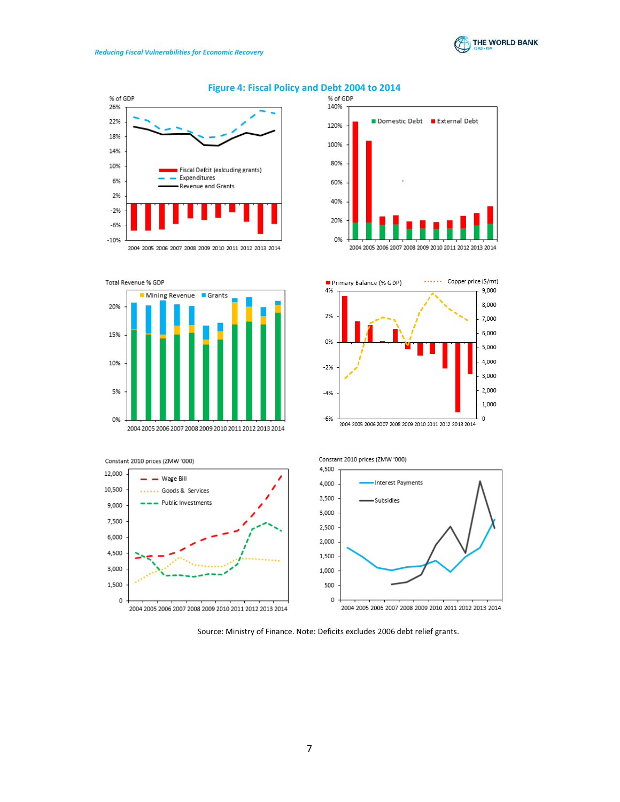







20%

15%

10%

5%

0%

2004 2005 2006 2007 2008 2009 2010 2011 2012 2013 2014







Constant 2010 prices (ZMW '000)



Source: Ministry of Finance. Note: Deficits excludes 2006 debt relief grants.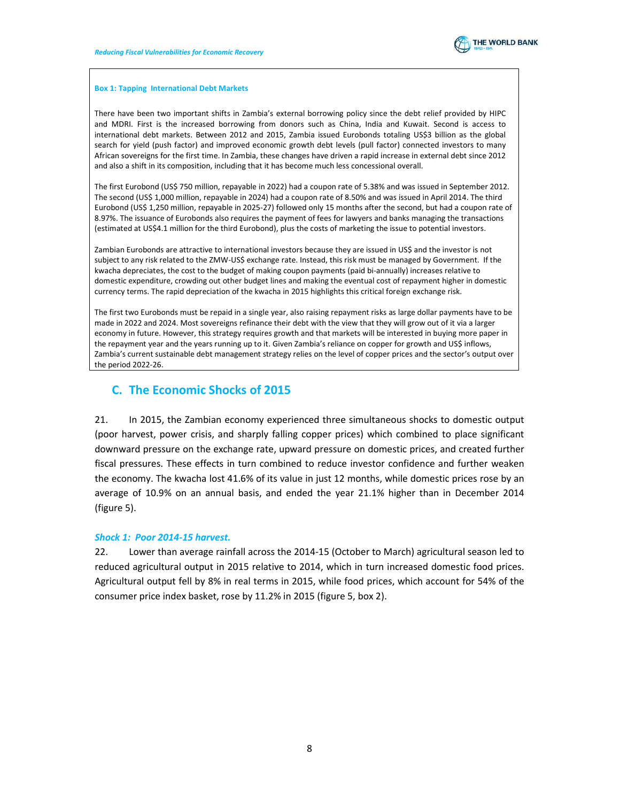

#### Box 1: Tapping International Debt Markets

There have been two important shifts in Zambia's external borrowing policy since the debt relief provided by HIPC and MDRI. First is the increased borrowing from donors such as China, India and Kuwait. Second is access to international debt markets. Between 2012 and 2015, Zambia issued Eurobonds totaling US\$3 billion as the global search for yield (push factor) and improved economic growth debt levels (pull factor) connected investors to many African sovereigns for the first time. In Zambia, these changes have driven a rapid increase in external debt since 2012 and also a shift in its composition, including that it has become much less concessional overall.

The first Eurobond (US\$ 750 million, repayable in 2022) had a coupon rate of 5.38% and was issued in September 2012. The second (US\$ 1,000 million, repayable in 2024) had a coupon rate of 8.50% and was issued in April 2014. The third Eurobond (US\$ 1,250 million, repayable in 2025-27) followed only 15 months after the second, but had a coupon rate of 8.97%. The issuance of Eurobonds also requires the payment of fees for lawyers and banks managing the transactions (estimated at US\$4.1 million for the third Eurobond), plus the costs of marketing the issue to potential investors.

Zambian Eurobonds are attractive to international investors because they are issued in US\$ and the investor is not subject to any risk related to the ZMW-US\$ exchange rate. Instead, this risk must be managed by Government. If the kwacha depreciates, the cost to the budget of making coupon payments (paid bi-annually) increases relative to domestic expenditure, crowding out other budget lines and making the eventual cost of repayment higher in domestic currency terms. The rapid depreciation of the kwacha in 2015 highlights this critical foreign exchange risk.

The first two Eurobonds must be repaid in a single year, also raising repayment risks as large dollar payments have to be made in 2022 and 2024. Most sovereigns refinance their debt with the view that they will grow out of it via a larger economy in future. However, this strategy requires growth and that markets will be interested in buying more paper in the repayment year and the years running up to it. Given Zambia's reliance on copper for growth and US\$ inflows, Zambia's current sustainable debt management strategy relies on the level of copper prices and the sector's output over the period 2022-26.

# C. The Economic Shocks of 2015

21. In 2015, the Zambian economy experienced three simultaneous shocks to domestic output (poor harvest, power crisis, and sharply falling copper prices) which combined to place significant downward pressure on the exchange rate, upward pressure on domestic prices, and created further fiscal pressures. These effects in turn combined to reduce investor confidence and further weaken the economy. The kwacha lost 41.6% of its value in just 12 months, while domestic prices rose by an average of 10.9% on an annual basis, and ended the year 21.1% higher than in December 2014 (figure 5).

### Shock 1: Poor 2014-15 harvest.

22. Lower than average rainfall across the 2014-15 (October to March) agricultural season led to reduced agricultural output in 2015 relative to 2014, which in turn increased domestic food prices. Agricultural output fell by 8% in real terms in 2015, while food prices, which account for 54% of the consumer price index basket, rose by 11.2% in 2015 (figure 5, box 2).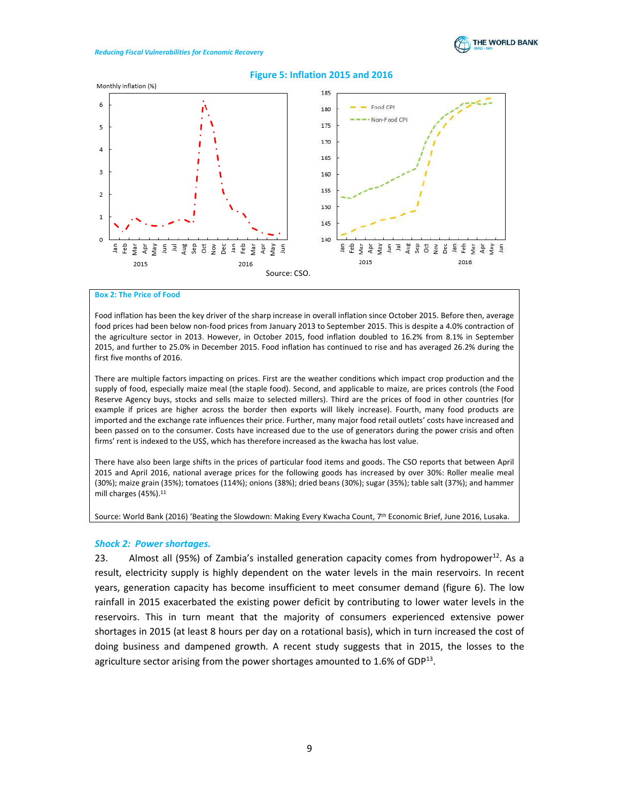

#### Figure 5: Inflation 2015 and 2016



#### Box 2: The Price of Food

Food inflation has been the key driver of the sharp increase in overall inflation since October 2015. Before then, average food prices had been below non-food prices from January 2013 to September 2015. This is despite a 4.0% contraction of the agriculture sector in 2013. However, in October 2015, food inflation doubled to 16.2% from 8.1% in September 2015, and further to 25.0% in December 2015. Food inflation has continued to rise and has averaged 26.2% during the first five months of 2016.

There are multiple factors impacting on prices. First are the weather conditions which impact crop production and the supply of food, especially maize meal (the staple food). Second, and applicable to maize, are prices controls (the Food Reserve Agency buys, stocks and sells maize to selected millers). Third are the prices of food in other countries (for example if prices are higher across the border then exports will likely increase). Fourth, many food products are imported and the exchange rate influences their price. Further, many major food retail outlets' costs have increased and been passed on to the consumer. Costs have increased due to the use of generators during the power crisis and often firms' rent is indexed to the US\$, which has therefore increased as the kwacha has lost value.

There have also been large shifts in the prices of particular food items and goods. The CSO reports that between April 2015 and April 2016, national average prices for the following goods has increased by over 30%: Roller mealie meal (30%); maize grain (35%); tomatoes (114%); onions (38%); dried beans (30%); sugar (35%); table salt (37%); and hammer mill charges (45%).<sup>11</sup>

#### Source: World Bank (2016) 'Beating the Slowdown: Making Every Kwacha Count, 7th Economic Brief, June 2016, Lusaka.

#### Shock 2: Power shortages.

23. Almost all (95%) of Zambia's installed generation capacity comes from hydropower $12$ . As a result, electricity supply is highly dependent on the water levels in the main reservoirs. In recent years, generation capacity has become insufficient to meet consumer demand (figure 6). The low rainfall in 2015 exacerbated the existing power deficit by contributing to lower water levels in the reservoirs. This in turn meant that the majority of consumers experienced extensive power shortages in 2015 (at least 8 hours per day on a rotational basis), which in turn increased the cost of doing business and dampened growth. A recent study suggests that in 2015, the losses to the agriculture sector arising from the power shortages amounted to 1.6% of GDP $^{13}$ .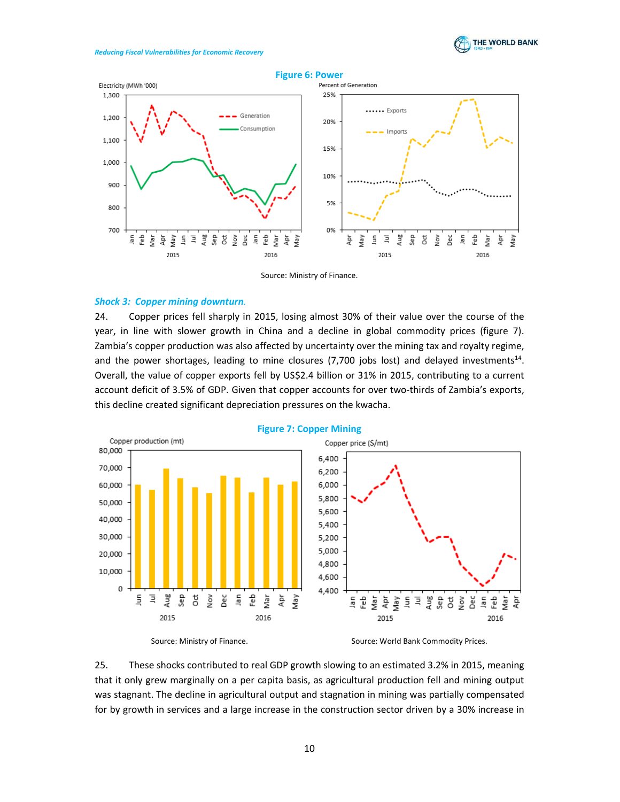



#### Source: Ministry of Finance.

#### Shock 3: Copper mining downturn.

24. Copper prices fell sharply in 2015, losing almost 30% of their value over the course of the year, in line with slower growth in China and a decline in global commodity prices (figure 7). Zambia's copper production was also affected by uncertainty over the mining tax and royalty regime, and the power shortages, leading to mine closures  $(7,700)$  jobs lost) and delayed investments<sup>14</sup>. Overall, the value of copper exports fell by US\$2.4 billion or 31% in 2015, contributing to a current account deficit of 3.5% of GDP. Given that copper accounts for over two-thirds of Zambia's exports, this decline created significant depreciation pressures on the kwacha.



### Figure 7: Copper Mining

Source: Ministry of Finance. The Source: World Bank Commodity Prices.

25. These shocks contributed to real GDP growth slowing to an estimated 3.2% in 2015, meaning that it only grew marginally on a per capita basis, as agricultural production fell and mining output was stagnant. The decline in agricultural output and stagnation in mining was partially compensated for by growth in services and a large increase in the construction sector driven by a 30% increase in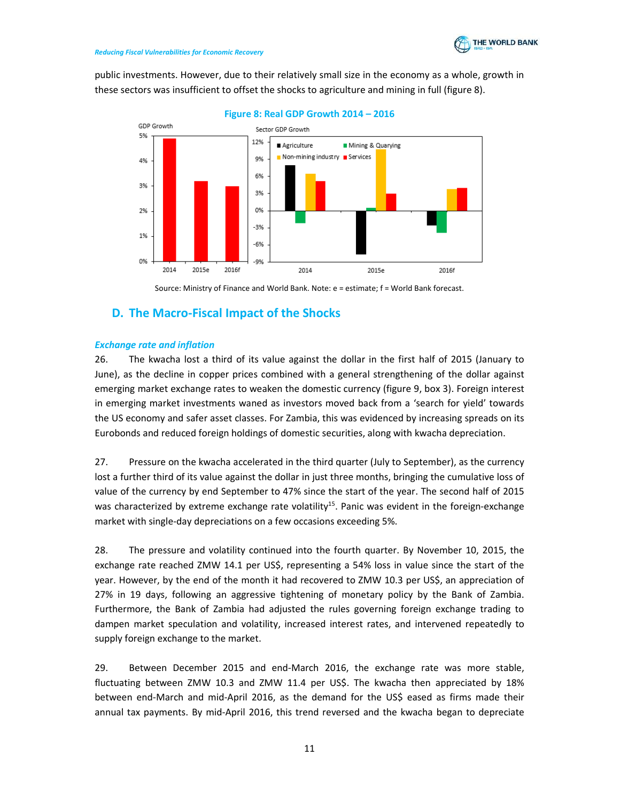public investments. However, due to their relatively small size in the economy as a whole, growth in these sectors was insufficient to offset the shocks to agriculture and mining in full (figure 8).



Figure 8: Real GDP Growth 2014 – 2016

Source: Ministry of Finance and World Bank. Note: e = estimate; f = World Bank forecast.

# D. The Macro-Fiscal Impact of the Shocks

## Exchange rate and inflation

26. The kwacha lost a third of its value against the dollar in the first half of 2015 (January to June), as the decline in copper prices combined with a general strengthening of the dollar against emerging market exchange rates to weaken the domestic currency (figure 9, box 3). Foreign interest in emerging market investments waned as investors moved back from a 'search for yield' towards the US economy and safer asset classes. For Zambia, this was evidenced by increasing spreads on its Eurobonds and reduced foreign holdings of domestic securities, along with kwacha depreciation.

27. Pressure on the kwacha accelerated in the third quarter (July to September), as the currency lost a further third of its value against the dollar in just three months, bringing the cumulative loss of value of the currency by end September to 47% since the start of the year. The second half of 2015 was characterized by extreme exchange rate volatility<sup>15</sup>. Panic was evident in the foreign-exchange market with single-day depreciations on a few occasions exceeding 5%.

28. The pressure and volatility continued into the fourth quarter. By November 10, 2015, the exchange rate reached ZMW 14.1 per US\$, representing a 54% loss in value since the start of the year. However, by the end of the month it had recovered to ZMW 10.3 per US\$, an appreciation of 27% in 19 days, following an aggressive tightening of monetary policy by the Bank of Zambia. Furthermore, the Bank of Zambia had adjusted the rules governing foreign exchange trading to dampen market speculation and volatility, increased interest rates, and intervened repeatedly to supply foreign exchange to the market.

29. Between December 2015 and end-March 2016, the exchange rate was more stable, fluctuating between ZMW 10.3 and ZMW 11.4 per US\$. The kwacha then appreciated by 18% between end-March and mid-April 2016, as the demand for the US\$ eased as firms made their annual tax payments. By mid-April 2016, this trend reversed and the kwacha began to depreciate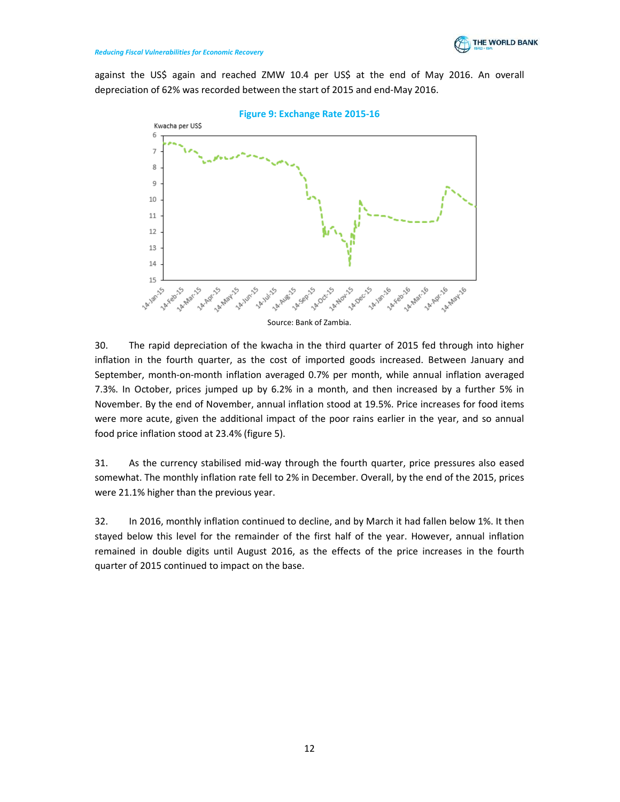

against the US\$ again and reached ZMW 10.4 per US\$ at the end of May 2016. An overall depreciation of 62% was recorded between the start of 2015 and end-May 2016.



30. The rapid depreciation of the kwacha in the third quarter of 2015 fed through into higher inflation in the fourth quarter, as the cost of imported goods increased. Between January and September, month-on-month inflation averaged 0.7% per month, while annual inflation averaged 7.3%. In October, prices jumped up by 6.2% in a month, and then increased by a further 5% in November. By the end of November, annual inflation stood at 19.5%. Price increases for food items were more acute, given the additional impact of the poor rains earlier in the year, and so annual food price inflation stood at 23.4% (figure 5).

31. As the currency stabilised mid-way through the fourth quarter, price pressures also eased somewhat. The monthly inflation rate fell to 2% in December. Overall, by the end of the 2015, prices were 21.1% higher than the previous year.

32. In 2016, monthly inflation continued to decline, and by March it had fallen below 1%. It then stayed below this level for the remainder of the first half of the year. However, annual inflation remained in double digits until August 2016, as the effects of the price increases in the fourth quarter of 2015 continued to impact on the base.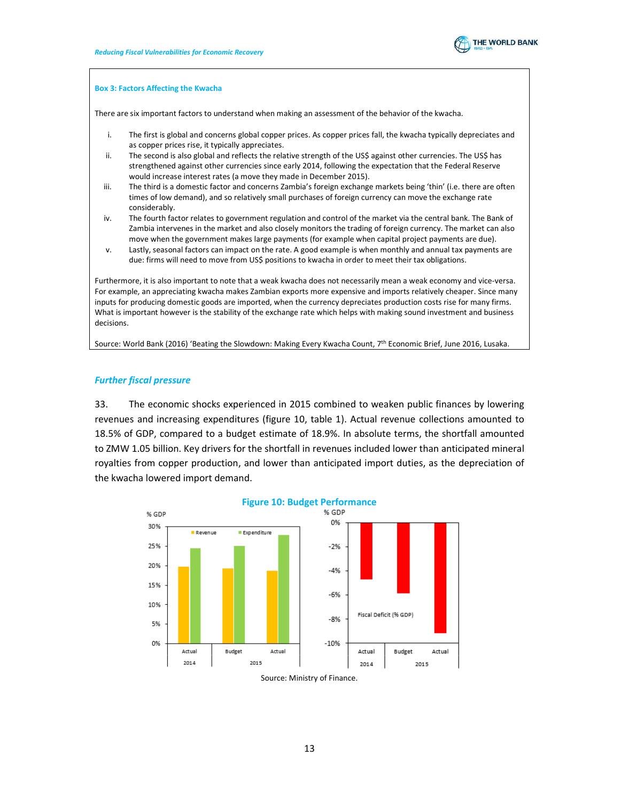

#### Box 3: Factors Affecting the Kwacha

There are six important factors to understand when making an assessment of the behavior of the kwacha.

- i. The first is global and concerns global copper prices. As copper prices fall, the kwacha typically depreciates and as copper prices rise, it typically appreciates.
- ii. The second is also global and reflects the relative strength of the US\$ against other currencies. The US\$ has strengthened against other currencies since early 2014, following the expectation that the Federal Reserve would increase interest rates (a move they made in December 2015).
- iii. The third is a domestic factor and concerns Zambia's foreign exchange markets being 'thin' (i.e. there are often times of low demand), and so relatively small purchases of foreign currency can move the exchange rate considerably.
- iv. The fourth factor relates to government regulation and control of the market via the central bank. The Bank of Zambia intervenes in the market and also closely monitors the trading of foreign currency. The market can also move when the government makes large payments (for example when capital project payments are due).
- v. Lastly, seasonal factors can impact on the rate. A good example is when monthly and annual tax payments are due: firms will need to move from US\$ positions to kwacha in order to meet their tax obligations.

Furthermore, it is also important to note that a weak kwacha does not necessarily mean a weak economy and vice-versa. For example, an appreciating kwacha makes Zambian exports more expensive and imports relatively cheaper. Since many inputs for producing domestic goods are imported, when the currency depreciates production costs rise for many firms. What is important however is the stability of the exchange rate which helps with making sound investment and business decisions.

Source: World Bank (2016) 'Beating the Slowdown: Making Every Kwacha Count, 7th Economic Brief, June 2016, Lusaka.

### Further fiscal pressure

33. The economic shocks experienced in 2015 combined to weaken public finances by lowering revenues and increasing expenditures (figure 10, table 1). Actual revenue collections amounted to 18.5% of GDP, compared to a budget estimate of 18.9%. In absolute terms, the shortfall amounted to ZMW 1.05 billion. Key drivers for the shortfall in revenues included lower than anticipated mineral royalties from copper production, and lower than anticipated import duties, as the depreciation of the kwacha lowered import demand.



Source: Ministry of Finance.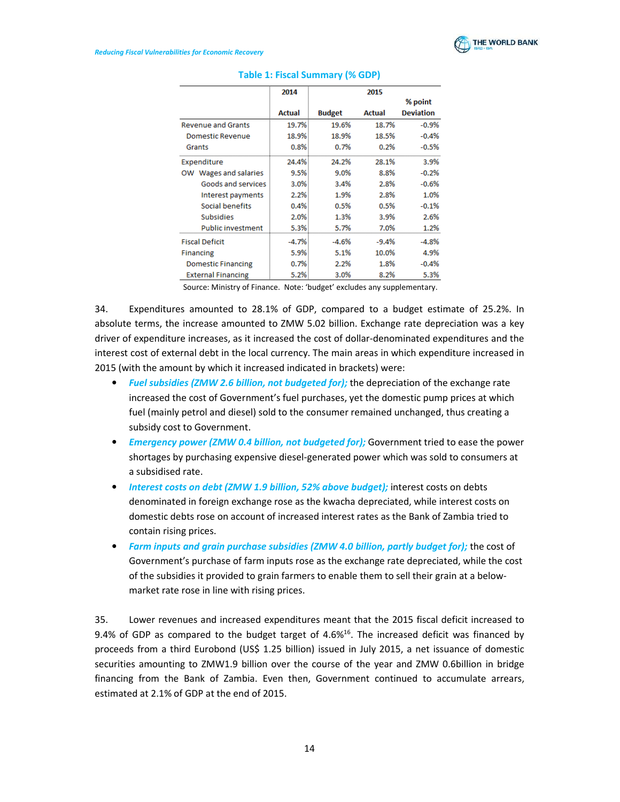

|                           | 2014    |               | 2015          |                  |
|---------------------------|---------|---------------|---------------|------------------|
|                           |         |               |               | % point          |
|                           | Actual  | <b>Budget</b> | <b>Actual</b> | <b>Deviation</b> |
| <b>Revenue and Grants</b> | 19.7%   | 19.6%         | 18.7%         | $-0.9%$          |
| <b>Domestic Revenue</b>   | 18.9%   | 18.9%         | 18.5%         | $-0.4%$          |
| Grants                    | 0.8%    | 0.7%          | 0.2%          | $-0.5%$          |
| Expenditure               | 24.4%   | 24.2%         | 28.1%         | 3.9%             |
| Wages and salaries<br>ow  | 9.5%    | 9.0%          | 8.8%          | $-0.2%$          |
| Goods and services        | 3.0%    | 3.4%          | 2.8%          | $-0.6%$          |
| Interest payments         | 2.2%    | 1.9%          | 2.8%          | 1.0%             |
| Social benefits           | 0.4%    | 0.5%          | 0.5%          | $-0.1%$          |
| <b>Subsidies</b>          | 2.0%    | 1.3%          | 3.9%          | 2.6%             |
| <b>Public investment</b>  | 5.3%    | 5.7%          | 7.0%          | 1.2%             |
| <b>Fiscal Deficit</b>     | $-4.7%$ | $-4.6%$       | $-9.4%$       | $-4.8%$          |
| <b>Financing</b>          | 5.9%    | 5.1%          | 10.0%         | 4.9%             |
| <b>Domestic Financing</b> | 0.7%    | 2.2%          | 1.8%          | $-0.4%$          |
| <b>External Financing</b> | 5.2%    | 3.0%          | 8.2%          | 5.3%             |

## Table 1: Fiscal Summary (% GDP)

Source: Ministry of Finance. Note: 'budget' excludes any supplementary.

34. Expenditures amounted to 28.1% of GDP, compared to a budget estimate of 25.2%. In absolute terms, the increase amounted to ZMW 5.02 billion. Exchange rate depreciation was a key driver of expenditure increases, as it increased the cost of dollar-denominated expenditures and the interest cost of external debt in the local currency. The main areas in which expenditure increased in 2015 (with the amount by which it increased indicated in brackets) were:

- Fuel subsidies (ZMW 2.6 billion, not budgeted for); the depreciation of the exchange rate increased the cost of Government's fuel purchases, yet the domestic pump prices at which fuel (mainly petrol and diesel) sold to the consumer remained unchanged, thus creating a subsidy cost to Government.
- Emergency power (ZMW 0.4 billion, not budgeted for); Government tried to ease the power shortages by purchasing expensive diesel-generated power which was sold to consumers at a subsidised rate.
- Interest costs on debt (ZMW 1.9 billion, 52% above budget); interest costs on debts denominated in foreign exchange rose as the kwacha depreciated, while interest costs on domestic debts rose on account of increased interest rates as the Bank of Zambia tried to contain rising prices.
- Farm inputs and grain purchase subsidies (ZMW 4.0 billion, partly budget for); the cost of Government's purchase of farm inputs rose as the exchange rate depreciated, while the cost of the subsidies it provided to grain farmers to enable them to sell their grain at a belowmarket rate rose in line with rising prices.

35. Lower revenues and increased expenditures meant that the 2015 fiscal deficit increased to 9.4% of GDP as compared to the budget target of 4.6%<sup>16</sup>. The increased deficit was financed by proceeds from a third Eurobond (US\$ 1.25 billion) issued in July 2015, a net issuance of domestic securities amounting to ZMW1.9 billion over the course of the year and ZMW 0.6billion in bridge financing from the Bank of Zambia. Even then, Government continued to accumulate arrears, estimated at 2.1% of GDP at the end of 2015.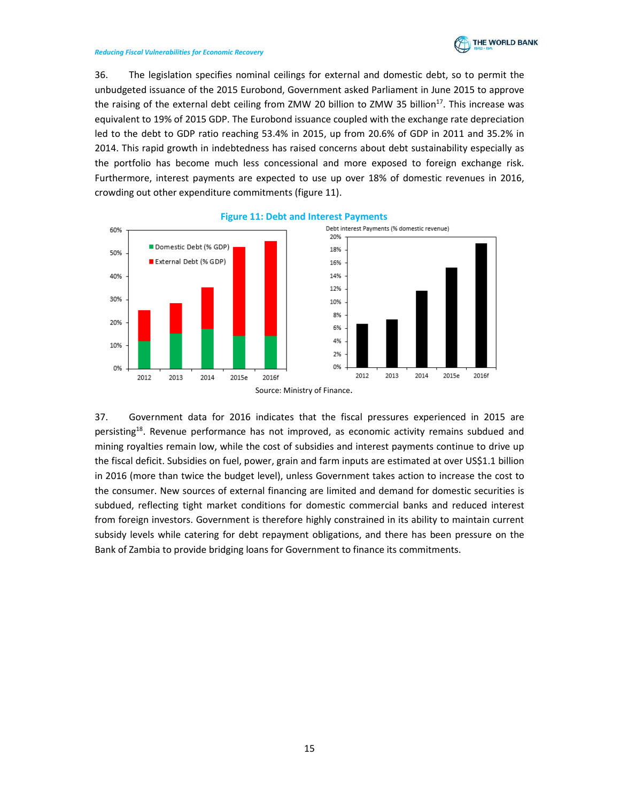

36. The legislation specifies nominal ceilings for external and domestic debt, so to permit the unbudgeted issuance of the 2015 Eurobond, Government asked Parliament in June 2015 to approve the raising of the external debt ceiling from ZMW 20 billion to ZMW 35 billion<sup>17</sup>. This increase was equivalent to 19% of 2015 GDP. The Eurobond issuance coupled with the exchange rate depreciation led to the debt to GDP ratio reaching 53.4% in 2015, up from 20.6% of GDP in 2011 and 35.2% in 2014. This rapid growth in indebtedness has raised concerns about debt sustainability especially as the portfolio has become much less concessional and more exposed to foreign exchange risk. Furthermore, interest payments are expected to use up over 18% of domestic revenues in 2016, crowding out other expenditure commitments (figure 11).



### Figure 11: Debt and Interest Payments

37. Government data for 2016 indicates that the fiscal pressures experienced in 2015 are persisting<sup>18</sup>. Revenue performance has not improved, as economic activity remains subdued and mining royalties remain low, while the cost of subsidies and interest payments continue to drive up the fiscal deficit. Subsidies on fuel, power, grain and farm inputs are estimated at over US\$1.1 billion in 2016 (more than twice the budget level), unless Government takes action to increase the cost to the consumer. New sources of external financing are limited and demand for domestic securities is subdued, reflecting tight market conditions for domestic commercial banks and reduced interest from foreign investors. Government is therefore highly constrained in its ability to maintain current subsidy levels while catering for debt repayment obligations, and there has been pressure on the Bank of Zambia to provide bridging loans for Government to finance its commitments.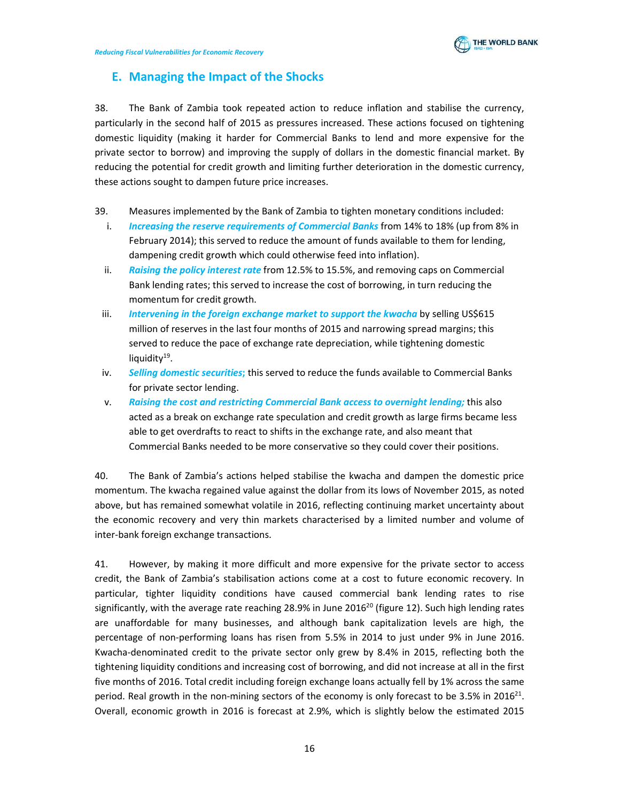

# E. Managing the Impact of the Shocks

38. The Bank of Zambia took repeated action to reduce inflation and stabilise the currency, particularly in the second half of 2015 as pressures increased. These actions focused on tightening domestic liquidity (making it harder for Commercial Banks to lend and more expensive for the private sector to borrow) and improving the supply of dollars in the domestic financial market. By reducing the potential for credit growth and limiting further deterioration in the domestic currency, these actions sought to dampen future price increases.

- 39. Measures implemented by the Bank of Zambia to tighten monetary conditions included:
	- i. Increasing the reserve requirements of Commercial Banks from 14% to 18% (up from 8% in February 2014); this served to reduce the amount of funds available to them for lending, dampening credit growth which could otherwise feed into inflation).
	- ii. Raising the policy interest rate from 12.5% to 15.5%, and removing caps on Commercial Bank lending rates; this served to increase the cost of borrowing, in turn reducing the momentum for credit growth.
	- iii. Intervening in the foreign exchange market to support the kwacha by selling US\$615 million of reserves in the last four months of 2015 and narrowing spread margins; this served to reduce the pace of exchange rate depreciation, while tightening domestic liquidity<sup>19</sup>.
	- iv. Selling domestic securities; this served to reduce the funds available to Commercial Banks for private sector lending.
	- v. Raising the cost and restricting Commercial Bank access to overnight lending; this also acted as a break on exchange rate speculation and credit growth as large firms became less able to get overdrafts to react to shifts in the exchange rate, and also meant that Commercial Banks needed to be more conservative so they could cover their positions.

40. The Bank of Zambia's actions helped stabilise the kwacha and dampen the domestic price momentum. The kwacha regained value against the dollar from its lows of November 2015, as noted above, but has remained somewhat volatile in 2016, reflecting continuing market uncertainty about the economic recovery and very thin markets characterised by a limited number and volume of inter-bank foreign exchange transactions.

41. However, by making it more difficult and more expensive for the private sector to access credit, the Bank of Zambia's stabilisation actions come at a cost to future economic recovery. In particular, tighter liquidity conditions have caused commercial bank lending rates to rise significantly, with the average rate reaching 28.9% in June  $2016^{20}$  (figure 12). Such high lending rates are unaffordable for many businesses, and although bank capitalization levels are high, the percentage of non-performing loans has risen from 5.5% in 2014 to just under 9% in June 2016. Kwacha-denominated credit to the private sector only grew by 8.4% in 2015, reflecting both the tightening liquidity conditions and increasing cost of borrowing, and did not increase at all in the first five months of 2016. Total credit including foreign exchange loans actually fell by 1% across the same period. Real growth in the non-mining sectors of the economy is only forecast to be 3.5% in 2016<sup>21</sup>. Overall, economic growth in 2016 is forecast at 2.9%, which is slightly below the estimated 2015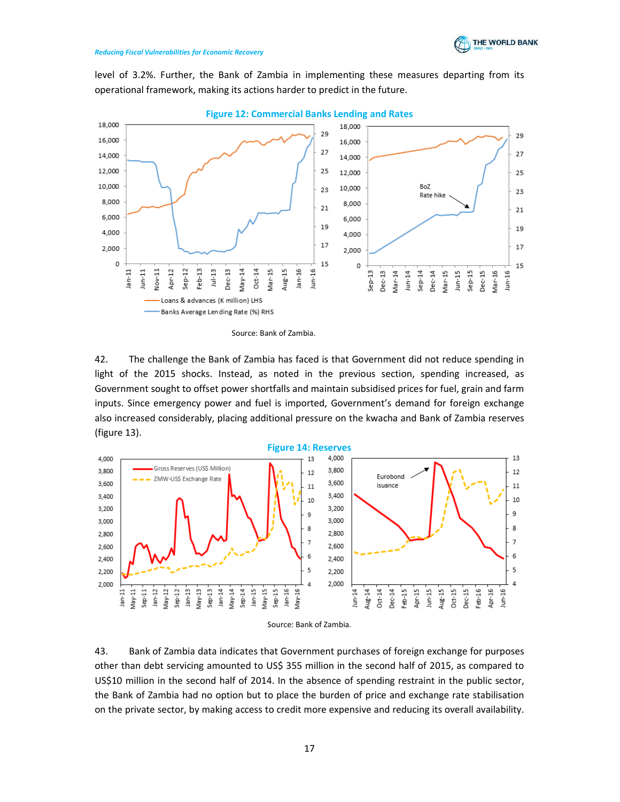

level of 3.2%. Further, the Bank of Zambia in implementing these measures departing from its operational framework, making its actions harder to predict in the future.



Figure 12: Commercial Banks Lending and Rates

Source: Bank of Zambia.

42. The challenge the Bank of Zambia has faced is that Government did not reduce spending in light of the 2015 shocks. Instead, as noted in the previous section, spending increased, as Government sought to offset power shortfalls and maintain subsidised prices for fuel, grain and farm inputs. Since emergency power and fuel is imported, Government's demand for foreign exchange also increased considerably, placing additional pressure on the kwacha and Bank of Zambia reserves (figure 13).





43. Bank of Zambia data indicates that Government purchases of foreign exchange for purposes other than debt servicing amounted to US\$ 355 million in the second half of 2015, as compared to US\$10 million in the second half of 2014. In the absence of spending restraint in the public sector, the Bank of Zambia had no option but to place the burden of price and exchange rate stabilisation on the private sector, by making access to credit more expensive and reducing its overall availability.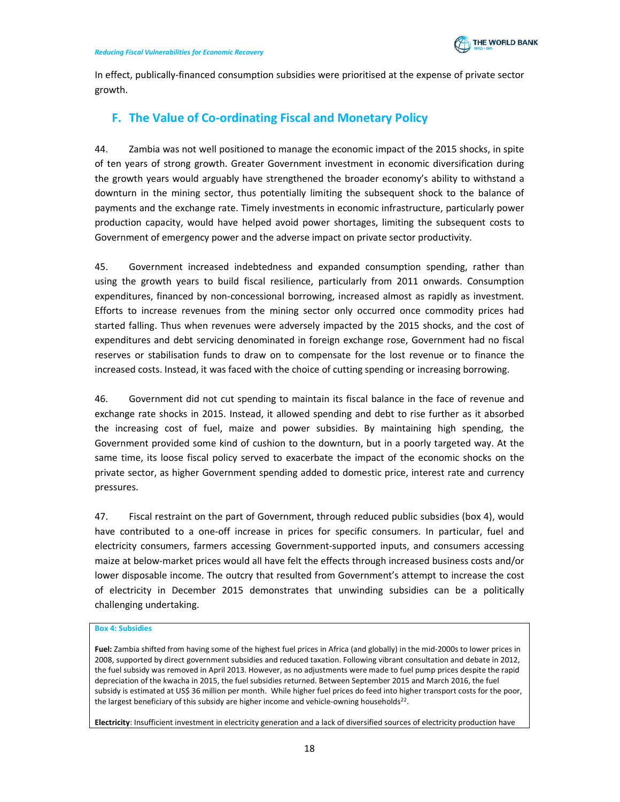

In effect, publically-financed consumption subsidies were prioritised at the expense of private sector growth.

# F. The Value of Co-ordinating Fiscal and Monetary Policy

44. Zambia was not well positioned to manage the economic impact of the 2015 shocks, in spite of ten years of strong growth. Greater Government investment in economic diversification during the growth years would arguably have strengthened the broader economy's ability to withstand a downturn in the mining sector, thus potentially limiting the subsequent shock to the balance of payments and the exchange rate. Timely investments in economic infrastructure, particularly power production capacity, would have helped avoid power shortages, limiting the subsequent costs to Government of emergency power and the adverse impact on private sector productivity.

45. Government increased indebtedness and expanded consumption spending, rather than using the growth years to build fiscal resilience, particularly from 2011 onwards. Consumption expenditures, financed by non-concessional borrowing, increased almost as rapidly as investment. Efforts to increase revenues from the mining sector only occurred once commodity prices had started falling. Thus when revenues were adversely impacted by the 2015 shocks, and the cost of expenditures and debt servicing denominated in foreign exchange rose, Government had no fiscal reserves or stabilisation funds to draw on to compensate for the lost revenue or to finance the increased costs. Instead, it was faced with the choice of cutting spending or increasing borrowing.

46. Government did not cut spending to maintain its fiscal balance in the face of revenue and exchange rate shocks in 2015. Instead, it allowed spending and debt to rise further as it absorbed the increasing cost of fuel, maize and power subsidies. By maintaining high spending, the Government provided some kind of cushion to the downturn, but in a poorly targeted way. At the same time, its loose fiscal policy served to exacerbate the impact of the economic shocks on the private sector, as higher Government spending added to domestic price, interest rate and currency pressures.

47. Fiscal restraint on the part of Government, through reduced public subsidies (box 4), would have contributed to a one-off increase in prices for specific consumers. In particular, fuel and electricity consumers, farmers accessing Government-supported inputs, and consumers accessing maize at below-market prices would all have felt the effects through increased business costs and/or lower disposable income. The outcry that resulted from Government's attempt to increase the cost of electricity in December 2015 demonstrates that unwinding subsidies can be a politically challenging undertaking.

#### Box 4: Subsidies

Fuel: Zambia shifted from having some of the highest fuel prices in Africa (and globally) in the mid-2000s to lower prices in 2008, supported by direct government subsidies and reduced taxation. Following vibrant consultation and debate in 2012, the fuel subsidy was removed in April 2013. However, as no adjustments were made to fuel pump prices despite the rapid depreciation of the kwacha in 2015, the fuel subsidies returned. Between September 2015 and March 2016, the fuel subsidy is estimated at US\$ 36 million per month. While higher fuel prices do feed into higher transport costs for the poor, the largest beneficiary of this subsidy are higher income and vehicle-owning households<sup>22</sup>.

Electricity: Insufficient investment in electricity generation and a lack of diversified sources of electricity production have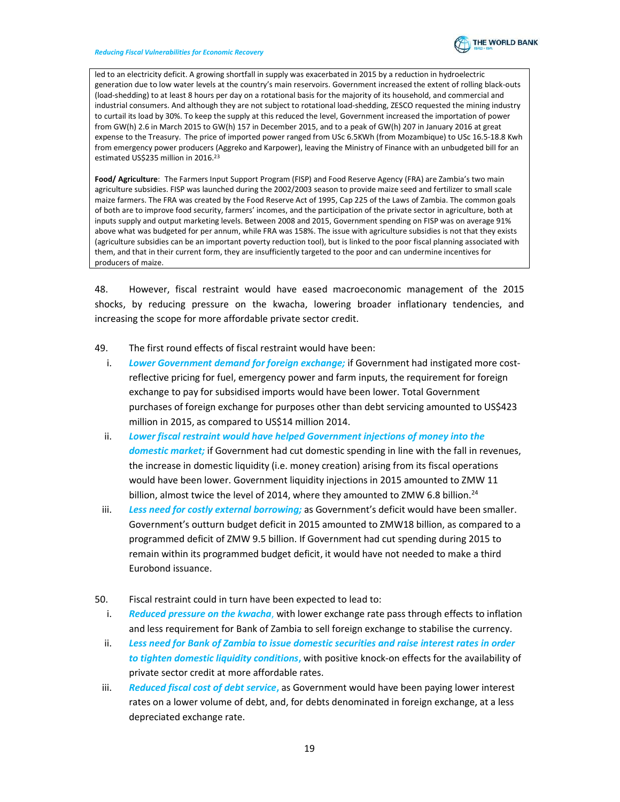

led to an electricity deficit. A growing shortfall in supply was exacerbated in 2015 by a reduction in hydroelectric generation due to low water levels at the country's main reservoirs. Government increased the extent of rolling black-outs (load-shedding) to at least 8 hours per day on a rotational basis for the majority of its household, and commercial and industrial consumers. And although they are not subject to rotational load-shedding, ZESCO requested the mining industry to curtail its load by 30%. To keep the supply at this reduced the level, Government increased the importation of power from GW(h) 2.6 in March 2015 to GW(h) 157 in December 2015, and to a peak of GW(h) 207 in January 2016 at great expense to the Treasury. The price of imported power ranged from USc 6.5KWh (from Mozambique) to USc 16.5-18.8 Kwh from emergency power producers (Aggreko and Karpower), leaving the Ministry of Finance with an unbudgeted bill for an estimated US\$235 million in 2016.<sup>23</sup>

Food/ Agriculture: The Farmers Input Support Program (FISP) and Food Reserve Agency (FRA) are Zambia's two main agriculture subsidies. FISP was launched during the 2002/2003 season to provide maize seed and fertilizer to small scale maize farmers. The FRA was created by the Food Reserve Act of 1995, Cap 225 of the Laws of Zambia. The common goals of both are to improve food security, farmers' incomes, and the participation of the private sector in agriculture, both at inputs supply and output marketing levels. Between 2008 and 2015, Government spending on FISP was on average 91% above what was budgeted for per annum, while FRA was 158%. The issue with agriculture subsidies is not that they exists (agriculture subsidies can be an important poverty reduction tool), but is linked to the poor fiscal planning associated with them, and that in their current form, they are insufficiently targeted to the poor and can undermine incentives for producers of maize.

48. However, fiscal restraint would have eased macroeconomic management of the 2015 shocks, by reducing pressure on the kwacha, lowering broader inflationary tendencies, and increasing the scope for more affordable private sector credit.

- 49. The first round effects of fiscal restraint would have been:
	- i. Lower Government demand for foreign exchange; if Government had instigated more costreflective pricing for fuel, emergency power and farm inputs, the requirement for foreign exchange to pay for subsidised imports would have been lower. Total Government purchases of foreign exchange for purposes other than debt servicing amounted to US\$423 million in 2015, as compared to US\$14 million 2014.
	- ii. Lower fiscal restraint would have helped Government injections of money into the domestic market; if Government had cut domestic spending in line with the fall in revenues, the increase in domestic liquidity (i.e. money creation) arising from its fiscal operations would have been lower. Government liquidity injections in 2015 amounted to ZMW 11 billion, almost twice the level of 2014, where they amounted to ZMW 6.8 billion. $^{24}$
	- iii. Less need for costly external borrowing; as Government's deficit would have been smaller. Government's outturn budget deficit in 2015 amounted to ZMW18 billion, as compared to a programmed deficit of ZMW 9.5 billion. If Government had cut spending during 2015 to remain within its programmed budget deficit, it would have not needed to make a third Eurobond issuance.
- 50. Fiscal restraint could in turn have been expected to lead to:
	- i. Reduced pressure on the kwacha, with lower exchange rate pass through effects to inflation and less requirement for Bank of Zambia to sell foreign exchange to stabilise the currency.
	- ii. Less need for Bank of Zambia to issue domestic securities and raise interest rates in order to tighten domestic liquidity conditions, with positive knock-on effects for the availability of private sector credit at more affordable rates.
	- iii. Reduced fiscal cost of debt service, as Government would have been paying lower interest rates on a lower volume of debt, and, for debts denominated in foreign exchange, at a less depreciated exchange rate.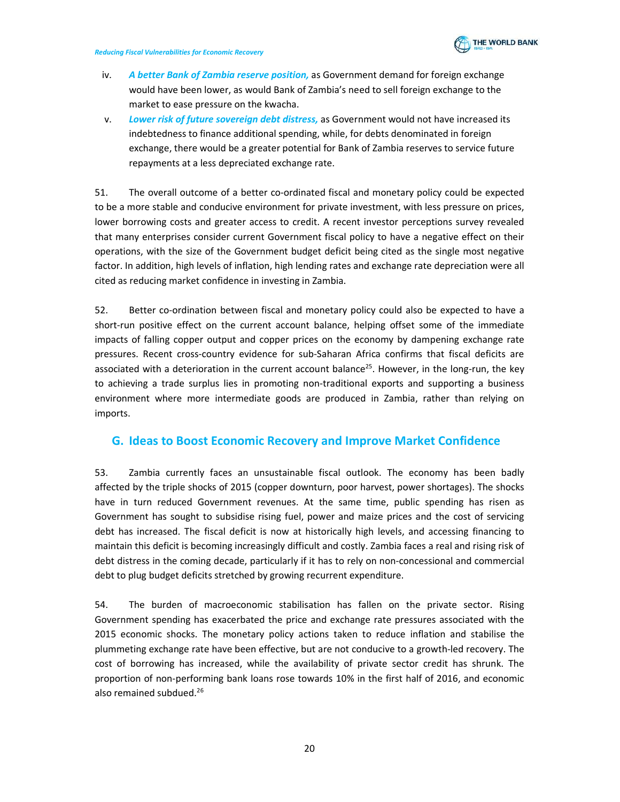

- iv. A better Bank of Zambia reserve position, as Government demand for foreign exchange would have been lower, as would Bank of Zambia's need to sell foreign exchange to the market to ease pressure on the kwacha.
- v. Lower risk of future sovereign debt distress, as Government would not have increased its indebtedness to finance additional spending, while, for debts denominated in foreign exchange, there would be a greater potential for Bank of Zambia reserves to service future repayments at a less depreciated exchange rate.

51. The overall outcome of a better co-ordinated fiscal and monetary policy could be expected to be a more stable and conducive environment for private investment, with less pressure on prices, lower borrowing costs and greater access to credit. A recent investor perceptions survey revealed that many enterprises consider current Government fiscal policy to have a negative effect on their operations, with the size of the Government budget deficit being cited as the single most negative factor. In addition, high levels of inflation, high lending rates and exchange rate depreciation were all cited as reducing market confidence in investing in Zambia.

52. Better co-ordination between fiscal and monetary policy could also be expected to have a short-run positive effect on the current account balance, helping offset some of the immediate impacts of falling copper output and copper prices on the economy by dampening exchange rate pressures. Recent cross-country evidence for sub-Saharan Africa confirms that fiscal deficits are associated with a deterioration in the current account balance<sup>25</sup>. However, in the long-run, the key to achieving a trade surplus lies in promoting non-traditional exports and supporting a business environment where more intermediate goods are produced in Zambia, rather than relying on imports.

## G. Ideas to Boost Economic Recovery and Improve Market Confidence

53. Zambia currently faces an unsustainable fiscal outlook. The economy has been badly affected by the triple shocks of 2015 (copper downturn, poor harvest, power shortages). The shocks have in turn reduced Government revenues. At the same time, public spending has risen as Government has sought to subsidise rising fuel, power and maize prices and the cost of servicing debt has increased. The fiscal deficit is now at historically high levels, and accessing financing to maintain this deficit is becoming increasingly difficult and costly. Zambia faces a real and rising risk of debt distress in the coming decade, particularly if it has to rely on non-concessional and commercial debt to plug budget deficits stretched by growing recurrent expenditure.

54. The burden of macroeconomic stabilisation has fallen on the private sector. Rising Government spending has exacerbated the price and exchange rate pressures associated with the 2015 economic shocks. The monetary policy actions taken to reduce inflation and stabilise the plummeting exchange rate have been effective, but are not conducive to a growth-led recovery. The cost of borrowing has increased, while the availability of private sector credit has shrunk. The proportion of non-performing bank loans rose towards 10% in the first half of 2016, and economic also remained subdued.<sup>26</sup>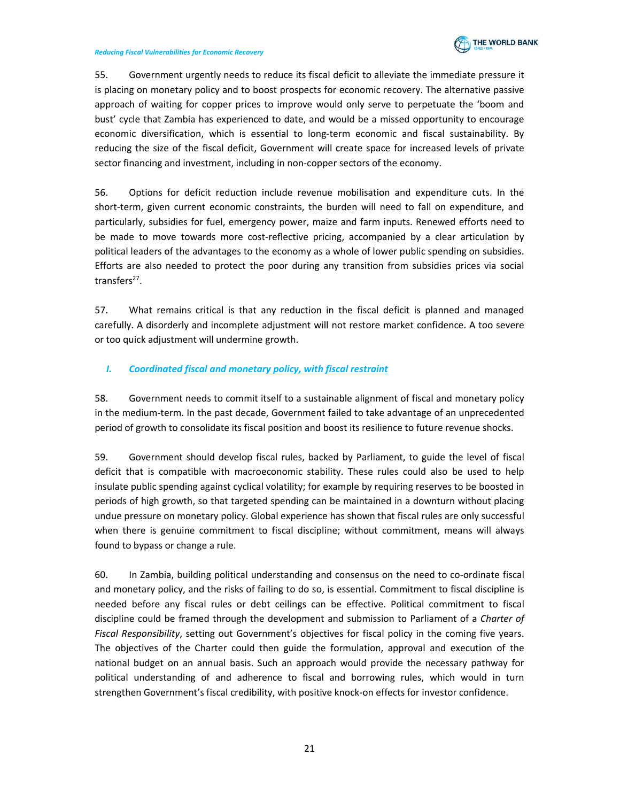

55. Government urgently needs to reduce its fiscal deficit to alleviate the immediate pressure it is placing on monetary policy and to boost prospects for economic recovery. The alternative passive approach of waiting for copper prices to improve would only serve to perpetuate the 'boom and bust' cycle that Zambia has experienced to date, and would be a missed opportunity to encourage economic diversification, which is essential to long-term economic and fiscal sustainability. By reducing the size of the fiscal deficit, Government will create space for increased levels of private sector financing and investment, including in non-copper sectors of the economy.

56. Options for deficit reduction include revenue mobilisation and expenditure cuts. In the short-term, given current economic constraints, the burden will need to fall on expenditure, and particularly, subsidies for fuel, emergency power, maize and farm inputs. Renewed efforts need to be made to move towards more cost-reflective pricing, accompanied by a clear articulation by political leaders of the advantages to the economy as a whole of lower public spending on subsidies. Efforts are also needed to protect the poor during any transition from subsidies prices via social transfers<sup>27</sup>.

57. What remains critical is that any reduction in the fiscal deficit is planned and managed carefully. A disorderly and incomplete adjustment will not restore market confidence. A too severe or too quick adjustment will undermine growth.

## I. Coordinated fiscal and monetary policy, with fiscal restraint

58. Government needs to commit itself to a sustainable alignment of fiscal and monetary policy in the medium-term. In the past decade, Government failed to take advantage of an unprecedented period of growth to consolidate its fiscal position and boost its resilience to future revenue shocks.

59. Government should develop fiscal rules, backed by Parliament, to guide the level of fiscal deficit that is compatible with macroeconomic stability. These rules could also be used to help insulate public spending against cyclical volatility; for example by requiring reserves to be boosted in periods of high growth, so that targeted spending can be maintained in a downturn without placing undue pressure on monetary policy. Global experience has shown that fiscal rules are only successful when there is genuine commitment to fiscal discipline; without commitment, means will always found to bypass or change a rule.

60. In Zambia, building political understanding and consensus on the need to co-ordinate fiscal and monetary policy, and the risks of failing to do so, is essential. Commitment to fiscal discipline is needed before any fiscal rules or debt ceilings can be effective. Political commitment to fiscal discipline could be framed through the development and submission to Parliament of a Charter of Fiscal Responsibility, setting out Government's objectives for fiscal policy in the coming five years. The objectives of the Charter could then guide the formulation, approval and execution of the national budget on an annual basis. Such an approach would provide the necessary pathway for political understanding of and adherence to fiscal and borrowing rules, which would in turn strengthen Government's fiscal credibility, with positive knock-on effects for investor confidence.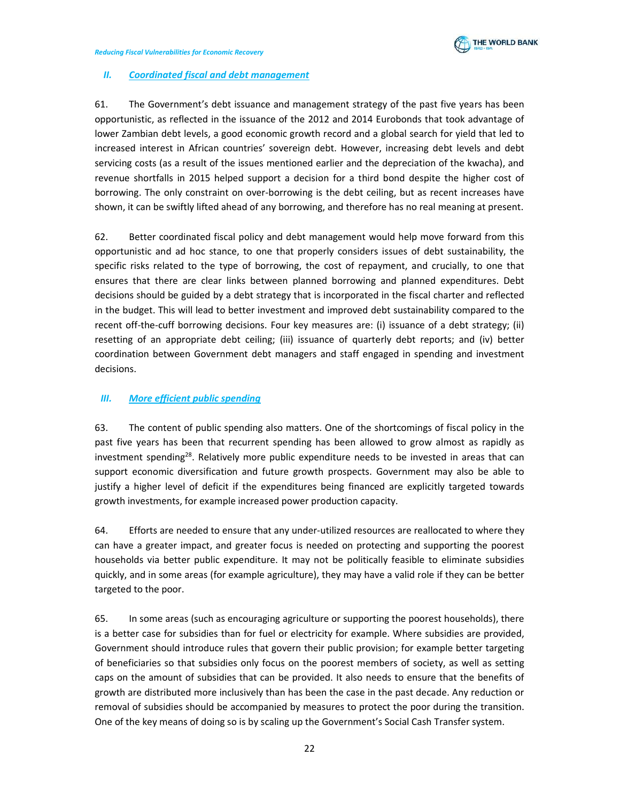

## II. Coordinated fiscal and debt management

61. The Government's debt issuance and management strategy of the past five years has been opportunistic, as reflected in the issuance of the 2012 and 2014 Eurobonds that took advantage of lower Zambian debt levels, a good economic growth record and a global search for yield that led to increased interest in African countries' sovereign debt. However, increasing debt levels and debt servicing costs (as a result of the issues mentioned earlier and the depreciation of the kwacha), and revenue shortfalls in 2015 helped support a decision for a third bond despite the higher cost of borrowing. The only constraint on over-borrowing is the debt ceiling, but as recent increases have shown, it can be swiftly lifted ahead of any borrowing, and therefore has no real meaning at present.

62. Better coordinated fiscal policy and debt management would help move forward from this opportunistic and ad hoc stance, to one that properly considers issues of debt sustainability, the specific risks related to the type of borrowing, the cost of repayment, and crucially, to one that ensures that there are clear links between planned borrowing and planned expenditures. Debt decisions should be guided by a debt strategy that is incorporated in the fiscal charter and reflected in the budget. This will lead to better investment and improved debt sustainability compared to the recent off-the-cuff borrowing decisions. Four key measures are: (i) issuance of a debt strategy; (ii) resetting of an appropriate debt ceiling; (iii) issuance of quarterly debt reports; and (iv) better coordination between Government debt managers and staff engaged in spending and investment decisions.

## III. More efficient public spending

63. The content of public spending also matters. One of the shortcomings of fiscal policy in the past five years has been that recurrent spending has been allowed to grow almost as rapidly as investment spending<sup>28</sup>. Relatively more public expenditure needs to be invested in areas that can support economic diversification and future growth prospects. Government may also be able to justify a higher level of deficit if the expenditures being financed are explicitly targeted towards growth investments, for example increased power production capacity.

64. Efforts are needed to ensure that any under-utilized resources are reallocated to where they can have a greater impact, and greater focus is needed on protecting and supporting the poorest households via better public expenditure. It may not be politically feasible to eliminate subsidies quickly, and in some areas (for example agriculture), they may have a valid role if they can be better targeted to the poor.

65. In some areas (such as encouraging agriculture or supporting the poorest households), there is a better case for subsidies than for fuel or electricity for example. Where subsidies are provided, Government should introduce rules that govern their public provision; for example better targeting of beneficiaries so that subsidies only focus on the poorest members of society, as well as setting caps on the amount of subsidies that can be provided. It also needs to ensure that the benefits of growth are distributed more inclusively than has been the case in the past decade. Any reduction or removal of subsidies should be accompanied by measures to protect the poor during the transition. One of the key means of doing so is by scaling up the Government's Social Cash Transfer system.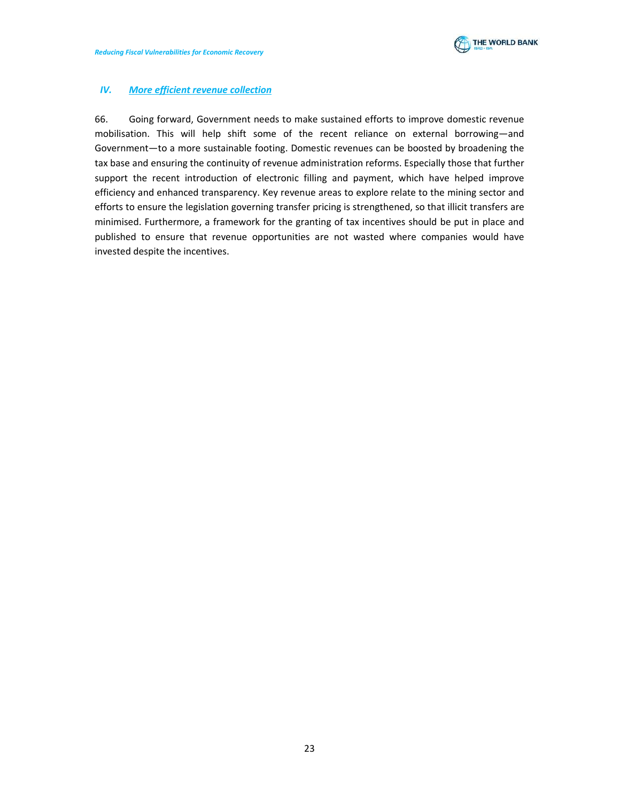

## IV. More efficient revenue collection

66. Going forward, Government needs to make sustained efforts to improve domestic revenue mobilisation. This will help shift some of the recent reliance on external borrowing―and Government-to a more sustainable footing. Domestic revenues can be boosted by broadening the tax base and ensuring the continuity of revenue administration reforms. Especially those that further support the recent introduction of electronic filling and payment, which have helped improve efficiency and enhanced transparency. Key revenue areas to explore relate to the mining sector and efforts to ensure the legislation governing transfer pricing is strengthened, so that illicit transfers are minimised. Furthermore, a framework for the granting of tax incentives should be put in place and published to ensure that revenue opportunities are not wasted where companies would have invested despite the incentives.